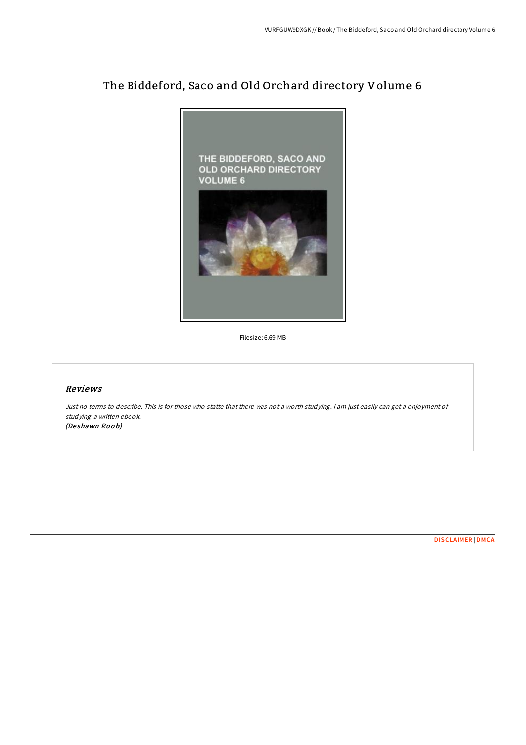

## The Biddeford, Saco and Old Orchard directory Volume 6

Filesize: 6.69 MB

## Reviews

Just no terms to describe. This is for those who statte that there was not <sup>a</sup> worth studying. <sup>I</sup> am just easily can get <sup>a</sup> enjoyment of studying <sup>a</sup> written ebook. (Deshawn Roob)

[DISCLAIMER](http://almighty24.tech/disclaimer.html) | [DMCA](http://almighty24.tech/dmca.html)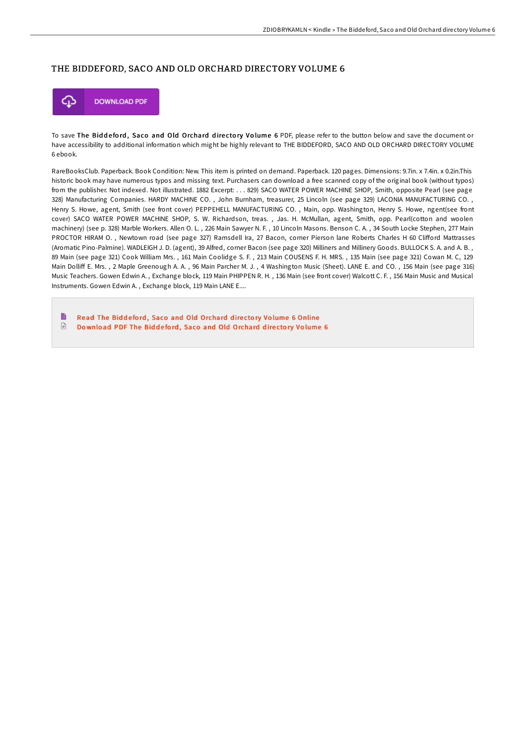## THE BIDDEFORD, SACO AND OLD ORCHARD DIRECTORY VOLUME 6



To save The Biddeford, Saco and Old Orchard directory Volume 6 PDF, please refer to the button below and save the document or have accessibility to additional information which might be highly relevant to THE BIDDEFORD, SACO AND OLD ORCHARD DIRECTORY VOLUME 6 ebook.

RareBooksClub. Paperback. Book Condition: New. This item is printed on demand. Paperback. 120 pages. Dimensions: 9.7in. x 7.4in. x 0.2in.This historic book may have numerous typos and missing text. Purchasers can download a free scanned copy of the original book (without typos) from the publisher. Not indexed. Not illustrated. 1882 Excerpt: . . . 829) SACO WATER POWER MACHINE SHOP, Smith, opposite Pearl (see page 328) Manufacturing Companies. HARDY MACHINE CO. , John Burnham, treasurer, 25 Lincoln (see page 329) LACONIA MANUFACTURING CO. , Henry S. Howe, agent, Smith (see front cover) PEPPEHELL MANUFACTURING CO. , Main, opp. Washington, Henry S. Howe, ngent(see front cover) SACO WATER POWER MACHINE SHOP, S. W. Richardson, treas. , Jas. H. McMullan, agent, Smith, opp. Pearl(cotton and woolen machinery) (see p. 328) Marble Workers. Allen O. L. , 226 Main Sawyer N. F. , 10 Lincoln Masons. Benson C. A. , 34 South Locke Stephen, 277 Main PROCTOR HIRAM O., Newtown road (see page 327) Ramsdell Ira, 27 Bacon, corner Pierson lane Roberts Charles H 60 Clifford Mattrasses (Aromatic Pino-Palmine). WADLEIGH J. D. (agent), 39 Alfred, corner Bacon (see page 320) Milliners and Millinery Goods. BULLOCK S. A. and A. B. , 89 Main (see page 321) Cook William Mrs. , 161 Main Coolidge S. F. , 213 Main COUSENS F. H. MRS. , 135 Main (see page 321) Cowan M. C, 129 Main Dolliff E. Mrs., 2 Maple Greenough A. A., 96 Main Parcher M. J., 4 Washington Music (Sheet). LANE E. and CO., 156 Main (see page 316) Music Teachers. Gowen Edwin A. , Exchange block, 119 Main PHIPPEN R. H. , 136 Main (see front cover) Walcott C. F. , 156 Main Music and Musical Instruments. Gowen Edwin A. , Exchange block, 119 Main LANE E....

B Read The Biddeford, Saco and Old [Orchard](http://almighty24.tech/the-biddeford-saco-and-old-orchard-directory-vol.html) directory Volume 6 Online  $\ensuremath{\mathop{\boxplus}}$ Download PDF The Biddeford, Saco and Old [Orchard](http://almighty24.tech/the-biddeford-saco-and-old-orchard-directory-vol.html) directory Volume 6